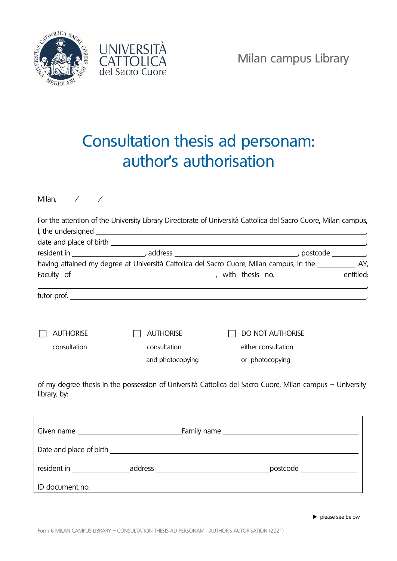



## Consultation thesis ad personam: author's authorisation

Milan,  $\frac{1}{2}$  /  $\frac{1}{2}$  /  $\frac{1}{2}$ 

|                  |                  | For the attention of the University Library Directorate of Università Cattolica del Sacro Cuore, Milan campus, |
|------------------|------------------|----------------------------------------------------------------------------------------------------------------|
|                  |                  |                                                                                                                |
|                  |                  | having attained my degree at Università Cattolica del Sacro Cuore, Milan campus, in the 1983 1994.             |
|                  |                  |                                                                                                                |
|                  |                  |                                                                                                                |
| <b>AUTHORISE</b> | <b>AUTHORISE</b> | <b>DO NOT AUTHORISE</b>                                                                                        |
| consultation     | consultation     | either consultation                                                                                            |
|                  | and photocopying | or photocopying                                                                                                |
| library, by:     |                  | of my degree thesis in the possession of Università Cattolica del Sacro Cuore, Milan campus - University       |
|                  |                  |                                                                                                                |
|                  |                  |                                                                                                                |
|                  |                  |                                                                                                                |
|                  |                  |                                                                                                                |

 $\blacktriangleright$  please see below